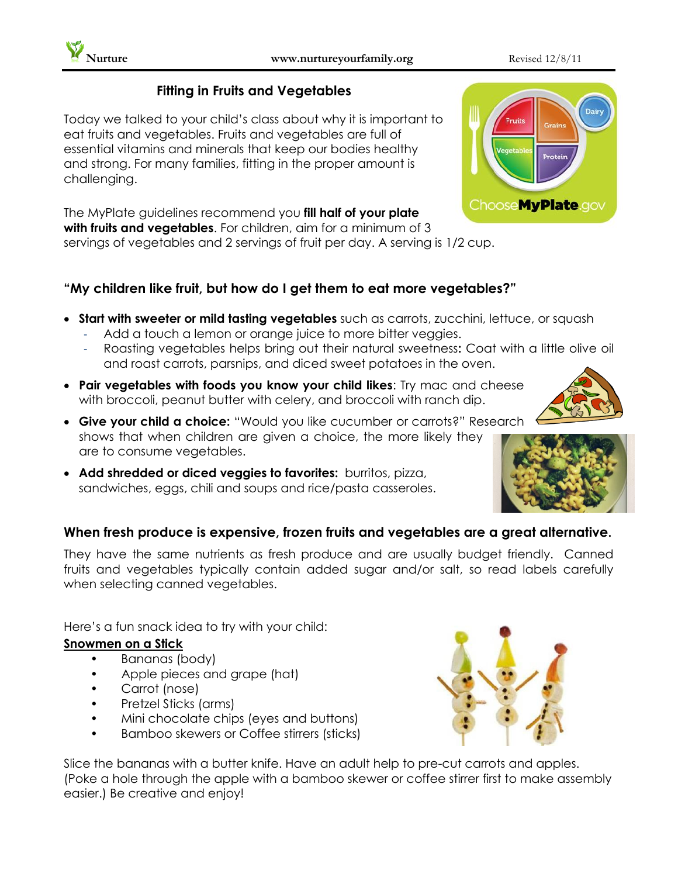## **Fitting in Fruits and Vegetables**

Today we talked to your child's class about why it is important to eat fruits and vegetables. Fruits and vegetables are full of essential vitamins and minerals that keep our bodies healthy and strong. For many families, fitting in the proper amount is challenging.

The MyPlate guidelines recommend you **fill half of your plate with fruits and vegetables**. For children, aim for a minimum of 3 servings of vegetables and 2 servings of fruit per day. A serving is 1/2 cup.

## **"My children like fruit, but how do I get them to eat more vegetables?"**

- **Start with sweeter or mild tasting vegetables** such as carrots, zucchini, lettuce, or squash
	- Add a touch a lemon or orange juice to more bitter veggies.
	- Roasting vegetables helps bring out their natural sweetness**:** Coat with a little olive oil and roast carrots, parsnips, and diced sweet potatoes in the oven.
- **Pair vegetables with foods you know your child likes**: Try mac and cheese with broccoli, peanut butter with celery, and broccoli with ranch dip.
- **Give your child a choice:** "Would you like cucumber or carrots?" Research shows that when children are given a choice, the more likely they are to consume vegetables.
- **Add shredded or diced veggies to favorites:** burritos, pizza, sandwiches, eggs, chili and soups and rice/pasta casseroles.

## **When fresh produce is expensive, frozen fruits and vegetables are a great alternative.**

They have the same nutrients as fresh produce and are usually budget friendly. Canned fruits and vegetables typically contain added sugar and/or salt, so read labels carefully when selecting canned vegetables.

Here's a fun snack idea to try with your child:

## **Snowmen on a Stick**

- Bananas (body)
- Apple pieces and grape (hat)
- Carrot (nose)
- Pretzel Sticks (arms)
- Mini chocolate chips (eyes and buttons)
- Bamboo skewers or Coffee stirrers (sticks)

Slice the bananas with a butter knife. Have an adult help to pre-cut carrots and apples. (Poke a hole through the apple with a bamboo skewer or coffee stirrer first to make assembly easier.) Be creative and enjoy!